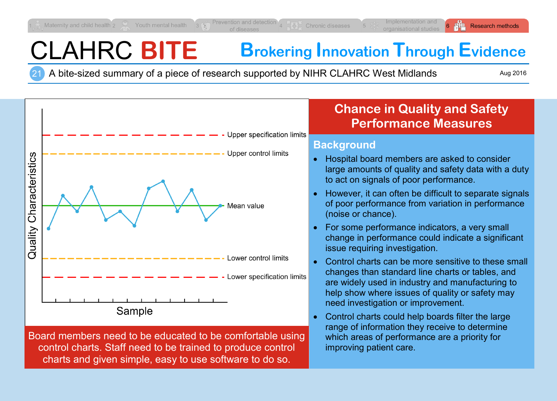# CLAHRC **BITE Brokering Innovation Through Evidence**

21 A bite-sized summary of a piece of research supported by NIHR CLAHRC West Midlands

Aug 2016